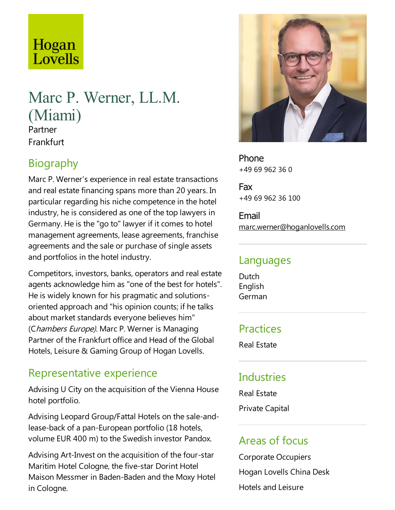# Hogan Lovells

# Marc P. Werner, LL.M. (Miami)

Partner **Frankfurt** 

## Biography

Marc P. Werner's experience in real estate transactions and real estate financing spans more than 20 years. In particular regarding his niche competence in the hotel industry, he is considered as one of the top lawyers in Germany. He is the "go to" lawyer if it comes to hotel management agreements, lease agreements, franchise agreements and the sale or purchase of single assets and portfolios in the hotel industry.

Competitors, investors, banks, operators and real estate agents acknowledge him as "one of the best for hotels". He is widely known for his pragmatic and solutionsoriented approach and "his opinion counts; if hetalks about market standards everyone believes him" (Chambers Europe). Marc P. Werner is Managing Partner of the Frankfurt office and Head of the Global Hotels, Leisure & Gaming Group of Hogan Lovells.

# Representative experience

Advising U City on the acquisition of the Vienna House hotel portfolio.

Advising Leopard Group/Fattal Hotels on the sale-andlease-back of a pan-European portfolio (18 hotels, volume EUR 400 m) to the Swedish investor Pandox.

Advising Art-Invest on the acquisition of the four-star Maritim Hotel Cologne, the five-star Dorint Hotel Maison Messmer in Baden-Baden and the Moxy Hotel in Cologne.



Phone +49 69 962 36 0

Fax +49 69 962 36 100

Email marc.werner@hoganlovells.com

#### Languages

**Dutch** English German

#### Practices

Real Estate

#### **Industries**

Real Estate

Private Capital

#### Areas of focus

Corporate Occupiers Hogan Lovells China Desk Hotels and Leisure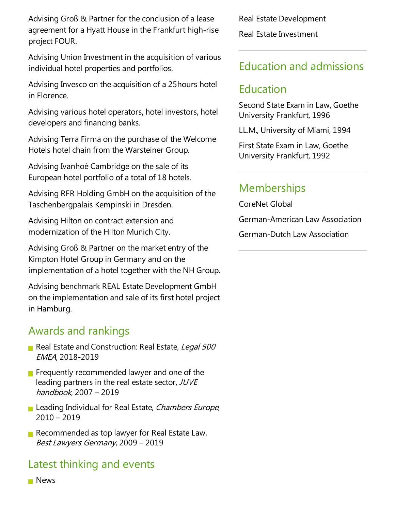Advising Groß & Partner for the conclusion of a lease agreement for a Hyatt House in the Frankfurt high-rise project FOUR.

Advising Union Investment in the acquisition of various individual hotel properties and portfolios.

Advising Invesco on the acquisition of a 25 hours hotel in Florence.

Advising various hotel operators, hotel investors, hotel developers and financing banks.

Advising Terra Firma on the purchase of the Welcome Hotels hotel chain from the Warsteiner Group.

Advising Ivanhoé Cambridge on the sale of its European hotel portfolio of a total of 18 hotels.

Advising RFR Holding GmbH on the acquisition of the Taschenbergpalais Kempinski in Dresden.

Advising Hilton on contract extension and modernization of the Hilton Munich City.

Advising Groß & Partner on the market entry of the Kimpton Hotel Group in Germany and on the implementation of a hotel together with the NH Group.

Advising benchmark REAL Estate Development GmbH on the implementation and sale of its first hotel project in Hamburg.

#### Awards and rankings

- Real Estate and Construction: Real Estate, Legal 500 EMEA, 2018-2019
- **Figure Frequently recommended lawyer and one of the** leading partners in the real estate sector, JUVE handbook, 2007 – 2019
- Leading Individual for Real Estate, Chambers Europe, 2010 – 2019
- Recommended as top lawyer for Real Estate Law, Best Lawyers Germany, 2009 - 2019

### Latest thinking and events

Real Estate Development Real Estate Investment

#### Education and admissions

### Education

Second State Exam in Law, Goethe University Frankfurt, 1996

LL.M., University of Miami, 1994

First State Exam in Law, Goethe University Frankfurt, 1992

### **Memberships**

CoreNet Global

German-American Law Association

German-Dutch Law Association

#### **News**